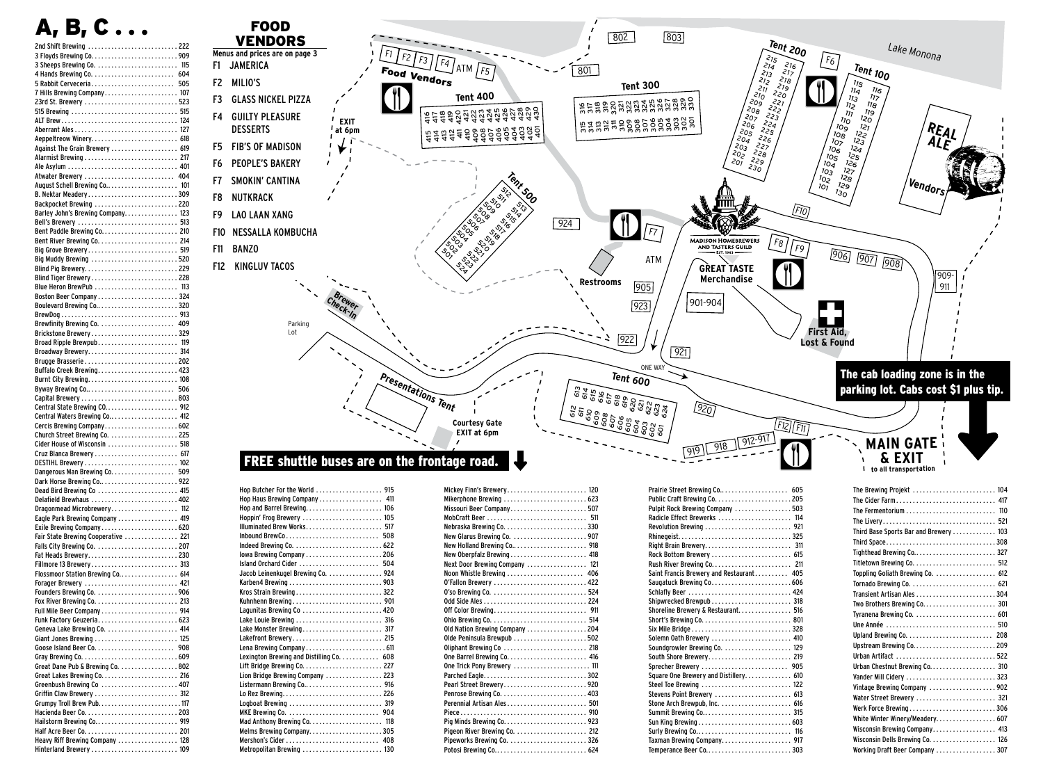|                                                             | B. C | $\bullet$ |  |      |
|-------------------------------------------------------------|------|-----------|--|------|
| 2nd Shift Brewing  222                                      |      |           |  |      |
|                                                             |      |           |  |      |
| 3 Sheeps Brewing Co.                                        |      |           |  | 115  |
|                                                             |      |           |  | 604  |
| 5 Rabbit Cerveceria                                         |      |           |  | 505  |
|                                                             |      |           |  |      |
| 23rd St. Brewery 523                                        |      |           |  |      |
| 515 Brewing  515                                            |      |           |  | 124  |
|                                                             |      |           |  | 127  |
| Aeppeltreow Winery 618                                      |      |           |  |      |
| Against The Grain Brewery  619                              |      |           |  |      |
|                                                             |      |           |  |      |
|                                                             |      |           |  |      |
| Atwater Brewery                                             |      |           |  | 404  |
| August Schell Brewing Co 101                                |      |           |  |      |
| B. Nektar Meadery309<br>Backpocket Brewing  220             |      |           |  |      |
| Barley John's Brewing Company 123                           |      |           |  |      |
| Bell's Brewery  513                                         |      |           |  |      |
|                                                             |      |           |  |      |
|                                                             |      |           |  |      |
| Big Grove Brewery 519                                       |      |           |  |      |
| Big Muddy Brewing 520                                       |      |           |  |      |
| Blind Pig Brewery229<br>Blind Tiger Brewery228              |      |           |  |      |
| Blue Heron BrewPub  113                                     |      |           |  |      |
| Boston Beer Company  324                                    |      |           |  |      |
|                                                             |      |           |  |      |
|                                                             |      |           |  |      |
|                                                             |      |           |  | 409  |
| Brickstone Brewery329                                       |      |           |  |      |
| Broad Ripple Brewpub 119                                    |      |           |  |      |
| Broadway Brewery 314                                        |      |           |  |      |
| Buffalo Creek Brewing 423                                   |      |           |  |      |
|                                                             |      |           |  |      |
|                                                             |      |           |  | 506  |
|                                                             |      |           |  |      |
| Central State Brewing CO 912                                |      |           |  |      |
| Central Waters Brewing Co 412                               |      |           |  |      |
| Cercis Brewing Company602<br>Church Street Brewing Co.  225 |      |           |  |      |
| Cider House of Wisconsin  518                               |      |           |  |      |
| Cruz Blanca Brewery                                         |      |           |  | -617 |
|                                                             |      |           |  |      |
|                                                             |      |           |  | 509  |
| Dark Horse Brewing Co922                                    |      |           |  |      |
| Dead Bird Brewing Co  415                                   |      |           |  |      |
| Delafield Brewhaus  402                                     |      |           |  | 112  |
| Dragonmead Microbrewery<br>Eagle Park Brewing Company  419  |      |           |  |      |
| Exile Brewing Company620                                    |      |           |  |      |
| Fair State Brewing Cooperative  221                         |      |           |  |      |
|                                                             |      |           |  |      |
| Fat Heads Brewery230                                        |      |           |  |      |
| Fillmore 13 Brewery 313                                     |      |           |  |      |
| Flossmoor Station Brewing Co 614                            |      |           |  |      |
| Forager Brewery  421                                        |      |           |  |      |
|                                                             |      |           |  |      |
|                                                             |      |           |  |      |
| Funk Factory Geuzeria 623                                   |      |           |  |      |
| Geneva Lake Brewing Co.  414                                |      |           |  |      |
| Giant Jones Brewing  125                                    |      |           |  |      |
|                                                             |      |           |  |      |
|                                                             |      |           |  |      |
| Great Dane Pub & Brewing Co. 802                            |      |           |  |      |
| Greenbush Brewing Co  407                                   |      |           |  |      |
| Griffin Claw Brewery  312                                   |      |           |  |      |
| Grumpy Troll Brew Pub 117                                   |      |           |  |      |
|                                                             |      |           |  |      |
|                                                             |      |           |  |      |
|                                                             |      |           |  |      |
| Heavy Riff Brewing Company  128<br>Hinterland Brewery  109  |      |           |  |      |



| Hop Haus Brewing Company 411             |  |
|------------------------------------------|--|
|                                          |  |
| Hoppin' Frog Brewery  105                |  |
| Illuminated Brew Works 517               |  |
| Inbound BrewCo 508                       |  |
|                                          |  |
|                                          |  |
| Island Orchard Cider  504                |  |
| Jacob Leinenkugel Brewing Co. 924        |  |
|                                          |  |
| Kros Strain Brewing322                   |  |
| Kuhnhenn Brewing 901                     |  |
| Lagunitas Brewing Co  420                |  |
|                                          |  |
| Lake Monster Brewing 317                 |  |
| Lakefront Brewery 215                    |  |
|                                          |  |
| Lexington Brewing and Distilling Co. 608 |  |
|                                          |  |
| Lion Bridge Brewing Company  223         |  |
|                                          |  |
|                                          |  |
| Logboat Brewing  319                     |  |
|                                          |  |
|                                          |  |
|                                          |  |
| Mershon's Cider  408                     |  |
| Metropolitan Brewing  130                |  |

| Mikerphone Brewing  623        |  |
|--------------------------------|--|
| Missouri Beer Company 507      |  |
| MobCraft Beer  511             |  |
|                                |  |
| New Glarus Brewing Co.  907    |  |
|                                |  |
| New Oberpfalz Brewing 418      |  |
| Next Door Brewing Company  121 |  |
| Noon Whistle Brewing  406      |  |
| 0'Fallon Brewery  422          |  |
|                                |  |
|                                |  |
|                                |  |
|                                |  |
| Old Nation Brewing Company 204 |  |
| Olde Peninsula Brewpub 502     |  |
| Oliphant Brewing Co  218       |  |
|                                |  |
| One Trick Pony Brewery  111    |  |
|                                |  |
| Pearl Street Brewery920        |  |
|                                |  |
| Perennial Artisan Ales 501     |  |
|                                |  |
|                                |  |
| Pigeon River Brewing Co.  212  |  |
|                                |  |
| Potosi Brewing Co 624          |  |

| Pulpit Rock Brewing Company  503         |
|------------------------------------------|
| Radicle Effect Brewerks  114             |
|                                          |
|                                          |
|                                          |
|                                          |
| Rush River Brewing Co 211                |
| Saint Francis Brewery and Restaurant 405 |
|                                          |
| Schlafly Beer  424                       |
| Shipwrecked Brewpub 318                  |
| Shoreline Brewery & Restaurant. 516      |
|                                          |
|                                          |
| Solemn Oath Brewery  410                 |
| Soundgrowler Brewing Co.  129            |
| South Shore Brewery 219                  |
| Sprecher Brewery  905                    |
| Square One Brewery and Distillery 610    |
| Steel Toe Brewing  122                   |
| Stevens Point Brewery  613               |
|                                          |
|                                          |
|                                          |
|                                          |
| Taxman Brewing Company 917               |
|                                          |

| The Brewing Projekt  104               |
|----------------------------------------|
| The Cider Farm 417                     |
| The Fermentorium  110                  |
| The Livery 521                         |
| Third Base Sports Bar and Brewery  103 |
| Third Space308                         |
| Tighthead Brewing Co 327               |
|                                        |
| Toppling Goliath Brewing Co.  612      |
|                                        |
| Transient Artisan Ales 304             |
| Two Brothers Brewing Co 301            |
|                                        |
| Une Année  510                         |
|                                        |
| Upstream Brewing Co209                 |
|                                        |
| Urban Chestnut Brewing Co 310          |
| Vander Mill Cidery  323                |
| Vintage Brewing Company 902            |
| Water Street Brewery  321              |
| Werk Force Brewing306                  |
| White Winter Winery/Meadery 607        |
| Wisconsin Brewing Company 413          |
|                                        |
| Working Draft Beer Company 307         |